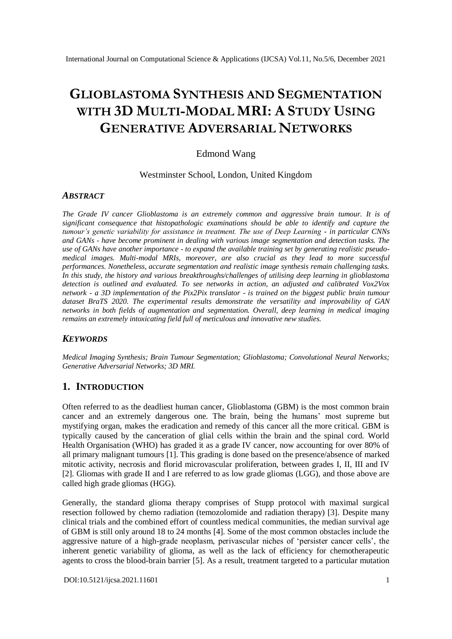# **GLIOBLASTOMA SYNTHESIS AND SEGMENTATION WITH 3D MULTI-MODAL MRI: A STUDY USING GENERATIVE ADVERSARIAL NETWORKS**

# Edmond Wang

#### Westminster School, London, United Kingdom

## *ABSTRACT*

*The Grade IV cancer Glioblastoma is an extremely common and aggressive brain tumour. It is of significant consequence that histopathologic examinations should be able to identify and capture the tumour's genetic variability for assistance in treatment. The use of Deep Learning - in particular CNNs and GANs - have become prominent in dealing with various image segmentation and detection tasks. The use of GANs have another importance - to expand the available training set by generating realistic pseudomedical images. Multi-modal MRIs, moreover, are also crucial as they lead to more successful performances. Nonetheless, accurate segmentation and realistic image synthesis remain challenging tasks. In this study, the history and various breakthroughs/challenges of utilising deep learning in glioblastoma detection is outlined and evaluated. To see networks in action, an adjusted and calibrated Vox2Vox network - a 3D implementation of the Pix2Pix translator - is trained on the biggest public brain tumour dataset BraTS 2020. The experimental results demonstrate the versatility and improvability of GAN networks in both fields of augmentation and segmentation. Overall, deep learning in medical imaging remains an extremely intoxicating field full of meticulous and innovative new studies.*

## *KEYWORDS*

*Medical Imaging Synthesis; Brain Tumour Segmentation; Glioblastoma; Convolutional Neural Networks; Generative Adversarial Networks; 3D MRI.*

## **1. INTRODUCTION**

Often referred to as the deadliest human cancer, Glioblastoma (GBM) is the most common brain cancer and an extremely dangerous one. The brain, being the humans' most supreme but mystifying organ, makes the eradication and remedy of this cancer all the more critical. GBM is typically caused by the canceration of glial cells within the brain and the spinal cord. World Health Organisation (WHO) has graded it as a grade IV cancer, now accounting for over 80% of all primary malignant tumours [1]. This grading is done based on the presence/absence of marked mitotic activity, necrosis and florid microvascular proliferation, between grades I, II, III and IV [2]. Gliomas with grade II and I are referred to as low grade gliomas (LGG), and those above are called high grade gliomas (HGG).

Generally, the standard glioma therapy comprises of Stupp protocol with maximal surgical resection followed by chemo radiation (temozolomide and radiation therapy) [3]. Despite many clinical trials and the combined effort of countless medical communities, the median survival age of GBM is still only around 18 to 24 months [4]. Some of the most common obstacles include the aggressive nature of a high-grade neoplasm, perivascular niches of 'persister cancer cells', the inherent genetic variability of glioma, as well as the lack of efficiency for chemotherapeutic agents to cross the blood-brain barrier [5]. As a result, treatment targeted to a particular mutation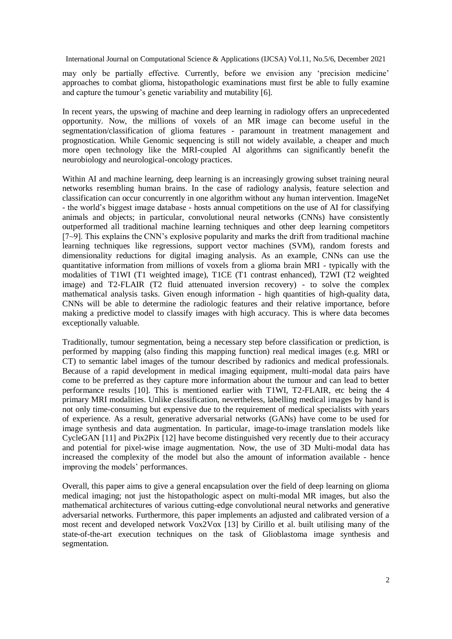may only be partially effective. Currently, before we envision any 'precision medicine' approaches to combat glioma, histopathologic examinations must first be able to fully examine and capture the tumour's genetic variability and mutability [6].

In recent years, the upswing of machine and deep learning in radiology offers an unprecedented opportunity. Now, the millions of voxels of an MR image can become useful in the segmentation/classification of glioma features - paramount in treatment management and prognostication. While Genomic sequencing is still not widely available, a cheaper and much more open technology like the MRI-coupled AI algorithms can significantly benefit the neurobiology and neurological-oncology practices.

Within AI and machine learning, deep learning is an increasingly growing subset training neural networks resembling human brains. In the case of radiology analysis, feature selection and classification can occur concurrently in one algorithm without any human intervention. ImageNet - the world's biggest image database - hosts annual competitions on the use of AI for classifying animals and objects; in particular, convolutional neural networks (CNNs) have consistently outperformed all traditional machine learning techniques and other deep learning competitors [7~9]. This explains the CNN's explosive popularity and marks the drift from traditional machine learning techniques like regressions, support vector machines (SVM), random forests and dimensionality reductions for digital imaging analysis. As an example, CNNs can use the quantitative information from millions of voxels from a glioma brain MRI - typically with the modalities of T1WI (T1 weighted image), T1CE (T1 contrast enhanced), T2WI (T2 weighted image) and T2-FLAIR (T2 fluid attenuated inversion recovery) - to solve the complex mathematical analysis tasks. Given enough information - high quantities of high-quality data, CNNs will be able to determine the radiologic features and their relative importance, before making a predictive model to classify images with high accuracy. This is where data becomes exceptionally valuable.

Traditionally, tumour segmentation, being a necessary step before classification or prediction, is performed by mapping (also finding this mapping function) real medical images (e.g. MRI or CT) to semantic label images of the tumour described by radionics and medical professionals. Because of a rapid development in medical imaging equipment, multi-modal data pairs have come to be preferred as they capture more information about the tumour and can lead to better performance results [10]. This is mentioned earlier with T1WI, T2-FLAIR, etc being the 4 primary MRI modalities. Unlike classification, nevertheless, labelling medical images by hand is not only time-consuming but expensive due to the requirement of medical specialists with years of experience. As a result, generative adversarial networks (GANs) have come to be used for image synthesis and data augmentation. In particular, image-to-image translation models like CycleGAN [11] and Pix2Pix [12] have become distinguished very recently due to their accuracy and potential for pixel-wise image augmentation. Now, the use of 3D Multi-modal data has increased the complexity of the model but also the amount of information available - hence improving the models' performances.

Overall, this paper aims to give a general encapsulation over the field of deep learning on glioma medical imaging; not just the histopathologic aspect on multi-modal MR images, but also the mathematical architectures of various cutting-edge convolutional neural networks and generative adversarial networks. Furthermore, this paper implements an adjusted and calibrated version of a most recent and developed network Vox2Vox [13] by Cirillo et al. built utilising many of the state-of-the-art execution techniques on the task of Glioblastoma image synthesis and segmentation.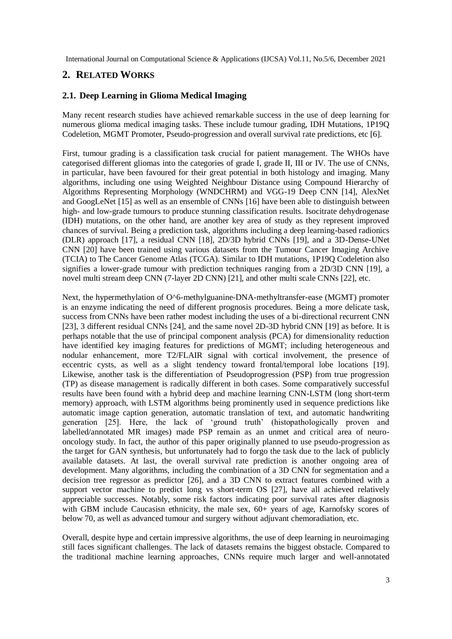# **2. RELATED WORKS**

# **2.1. Deep Learning in Glioma Medical Imaging**

Many recent research studies have achieved remarkable success in the use of deep learning for numerous glioma medical imaging tasks. These include tumour grading, IDH Mutations, 1P19Q Codeletion, MGMT Promoter, Pseudo-progression and overall survival rate predictions, etc [6].

First, tumour grading is a classification task crucial for patient management. The WHOs have categorised different gliomas into the categories of grade I, grade II, III or IV. The use of CNNs, in particular, have been favoured for their great potential in both histology and imaging. Many algorithms, including one using Weighted Neighbour Distance using Compound Hierarchy of Algorithms Representing Morphology (WNDCHRM) and VGG-19 Deep CNN [14], AlexNet and GoogLeNet [15] as well as an ensemble of CNNs [16] have been able to distinguish between high- and low-grade tumours to produce stunning classification results. Isocitrate dehydrogenase (IDH) mutations, on the other hand, are another key area of study as they represent improved chances of survival. Being a prediction task, algorithms including a deep learning-based radionics (DLR) approach [17], a residual CNN [18], 2D/3D hybrid CNNs [19], and a 3D-Dense-UNet CNN [20] have been trained using various datasets from the Tumour Cancer Imaging Archive (TCIA) to The Cancer Genome Atlas (TCGA). Similar to IDH mutations, 1P19Q Codeletion also signifies a lower-grade tumour with prediction techniques ranging from a 2D/3D CNN [19], a novel multi stream deep CNN (7-layer 2D CNN) [21], and other multi scale CNNs [22], etc.

Next, the hypermethylation of O^6-methylguanine-DNA-methyltransfer-ease (MGMT) promoter is an enzyme indicating the need of different prognosis procedures. Being a more delicate task, success from CNNs have been rather modest including the uses of a bi-directional recurrent CNN [23], 3 different residual CNNs [24], and the same novel 2D-3D hybrid CNN [19] as before. It is perhaps notable that the use of principal component analysis (PCA) for dimensionality reduction have identified key imaging features for predictions of MGMT; including heterogeneous and nodular enhancement, more T2/FLAIR signal with cortical involvement, the presence of eccentric cysts, as well as a slight tendency toward frontal/temporal lobe locations [19]. Likewise, another task is the differentiation of Pseudoprogression (PSP) from true progression (TP) as disease management is radically different in both cases. Some comparatively successful results have been found with a hybrid deep and machine learning CNN-LSTM (long short-term memory) approach, with LSTM algorithms being prominently used in sequence predictions like automatic image caption generation, automatic translation of text, and automatic handwriting generation [25]. Here, the lack of 'ground truth' (histopathologically proven and labelled/annotated MR images) made PSP remain as an unmet and critical area of neurooncology study. In fact, the author of this paper originally planned to use pseudo-progression as the target for GAN synthesis, but unfortunately had to forgo the task due to the lack of publicly available datasets. At last, the overall survival rate prediction is another ongoing area of development. Many algorithms, including the combination of a 3D CNN for segmentation and a decision tree regressor as predictor [26], and a 3D CNN to extract features combined with a support vector machine to predict long vs short-term OS [27], have all achieved relatively appreciable successes. Notably, some risk factors indicating poor survival rates after diagnosis with GBM include Caucasisn ethnicity, the male sex, 60+ years of age, Karnofsky scores of below 70, as well as advanced tumour and surgery without adjuvant chemoradiation, etc.

Overall, despite hype and certain impressive algorithms, the use of deep learning in neuroimaging still faces significant challenges. The lack of datasets remains the biggest obstacle. Compared to the traditional machine learning approaches, CNNs require much larger and well-annotated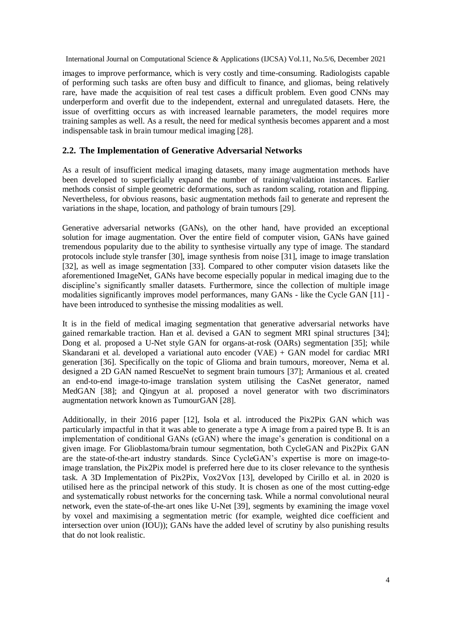images to improve performance, which is very costly and time-consuming. Radiologists capable of performing such tasks are often busy and difficult to finance, and gliomas, being relatively rare, have made the acquisition of real test cases a difficult problem. Even good CNNs may underperform and overfit due to the independent, external and unregulated datasets. Here, the issue of overfitting occurs as with increased learnable parameters, the model requires more training samples as well. As a result, the need for medical synthesis becomes apparent and a most indispensable task in brain tumour medical imaging [28].

# **2.2. The Implementation of Generative Adversarial Networks**

As a result of insufficient medical imaging datasets, many image augmentation methods have been developed to superficially expand the number of training/validation instances. Earlier methods consist of simple geometric deformations, such as random scaling, rotation and flipping. Nevertheless, for obvious reasons, basic augmentation methods fail to generate and represent the variations in the shape, location, and pathology of brain tumours [29].

Generative adversarial networks (GANs), on the other hand, have provided an exceptional solution for image augmentation. Over the entire field of computer vision, GANs have gained tremendous popularity due to the ability to synthesise virtually any type of image. The standard protocols include style transfer [30], image synthesis from noise [31], image to image translation [32], as well as image segmentation [33]. Compared to other computer vision datasets like the aforementioned ImageNet, GANs have become especially popular in medical imaging due to the discipline's significantly smaller datasets. Furthermore, since the collection of multiple image modalities significantly improves model performances, many GANs - like the Cycle GAN [11] have been introduced to synthesise the missing modalities as well.

It is in the field of medical imaging segmentation that generative adversarial networks have gained remarkable traction. Han et al. devised a GAN to segment MRI spinal structures [34]; Dong et al. proposed a U-Net style GAN for organs-at-rosk (OARs) segmentation [35]; while Skandarani et al. developed a variational auto encoder (VAE) + GAN model for cardiac MRI generation [36]. Specifically on the topic of Glioma and brain tumours, moreover, Nema et al. designed a 2D GAN named RescueNet to segment brain tumours [37]; Armanious et al. created an end-to-end image-to-image translation system utilising the CasNet generator, named MedGAN [38]; and Qingyun at al. proposed a novel generator with two discriminators augmentation network known as TumourGAN [28].

Additionally, in their 2016 paper [12], Isola et al. introduced the Pix2Pix GAN which was particularly impactful in that it was able to generate a type A image from a paired type B. It is an implementation of conditional GANs (cGAN) where the image's generation is conditional on a given image. For Glioblastoma/brain tumour segmentation, both CycleGAN and Pix2Pix GAN are the state-of-the-art industry standards. Since CycleGAN's expertise is more on image-toimage translation, the Pix2Pix model is preferred here due to its closer relevance to the synthesis task. A 3D Implementation of Pix2Pix, Vox2Vox [13], developed by Cirillo et al. in 2020 is utilised here as the principal network of this study. It is chosen as one of the most cutting-edge and systematically robust networks for the concerning task. While a normal convolutional neural network, even the state-of-the-art ones like U-Net [39], segments by examining the image voxel by voxel and maximising a segmentation metric (for example, weighted dice coefficient and intersection over union (IOU)); GANs have the added level of scrutiny by also punishing results that do not look realistic.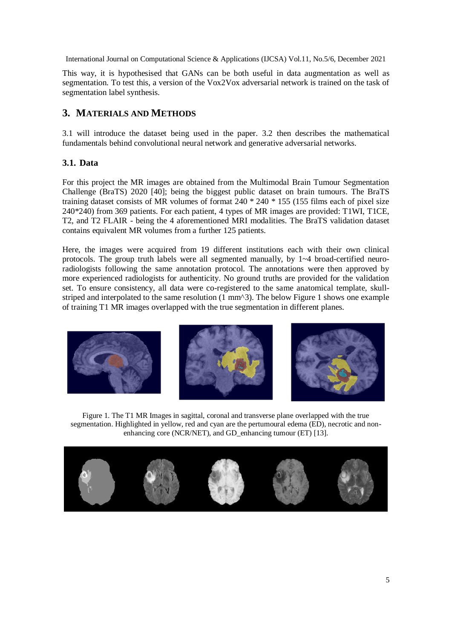This way, it is hypothesised that GANs can be both useful in data augmentation as well as segmentation. To test this, a version of the Vox2Vox adversarial network is trained on the task of segmentation label synthesis.

# **3. MATERIALS AND METHODS**

3.1 will introduce the dataset being used in the paper. 3.2 then describes the mathematical fundamentals behind convolutional neural network and generative adversarial networks.

# **3.1. Data**

For this project the MR images are obtained from the Multimodal Brain Tumour Segmentation Challenge (BraTS) 2020 [40]; being the biggest public dataset on brain tumours. The BraTS training dataset consists of MR volumes of format 240 \* 240 \* 155 (155 films each of pixel size 240\*240) from 369 patients. For each patient, 4 types of MR images are provided: T1WI, T1CE, T2, and T2 FLAIR - being the 4 aforementioned MRI modalities. The BraTS validation dataset contains equivalent MR volumes from a further 125 patients.

Here, the images were acquired from 19 different institutions each with their own clinical protocols. The group truth labels were all segmented manually, by 1~4 broad-certified neuroradiologists following the same annotation protocol. The annotations were then approved by more experienced radiologists for authenticity. No ground truths are provided for the validation set. To ensure consistency, all data were co-registered to the same anatomical template, skullstriped and interpolated to the same resolution  $(1 \text{ mm}^3)$ . The below Figure 1 shows one example of training T1 MR images overlapped with the true segmentation in different planes.



Figure 1. The T1 MR Images in sagittal, coronal and transverse plane overlapped with the true segmentation. Highlighted in yellow, red and cyan are the pertumoural edema (ED), necrotic and nonenhancing core (NCR/NET), and GD\_enhancing tumour (ET) [13].

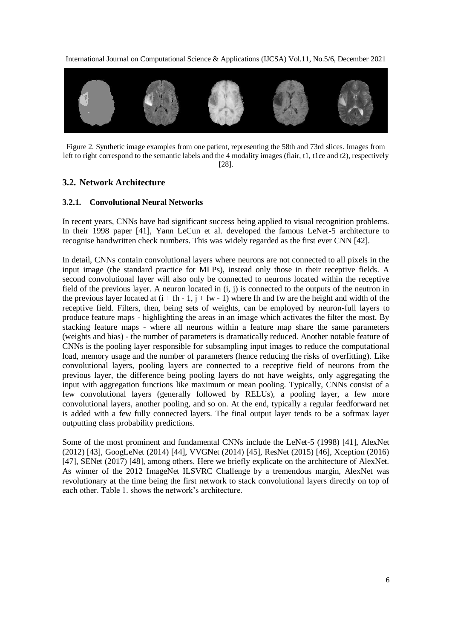

Figure 2. Synthetic image examples from one patient, representing the 58th and 73rd slices. Images from left to right correspond to the semantic labels and the 4 modality images (flair, t1, t1ce and t2), respectively [28].

## **3.2. Network Architecture**

#### **3.2.1. Convolutional Neural Networks**

In recent years, CNNs have had significant success being applied to visual recognition problems. In their 1998 paper [41], Yann LeCun et al. developed the famous LeNet-5 architecture to recognise handwritten check numbers. This was widely regarded as the first ever CNN [42].

In detail, CNNs contain convolutional layers where neurons are not connected to all pixels in the input image (the standard practice for MLPs), instead only those in their receptive fields. A second convolutional layer will also only be connected to neurons located within the receptive field of the previous layer. A neuron located in (i, j) is connected to the outputs of the neutron in the previous layer located at  $(i + fh - 1, j + fw - 1)$  where fh and fw are the height and width of the receptive field. Filters, then, being sets of weights, can be employed by neuron-full layers to produce feature maps - highlighting the areas in an image which activates the filter the most. By stacking feature maps - where all neurons within a feature map share the same parameters (weights and bias) - the number of parameters is dramatically reduced. Another notable feature of CNNs is the pooling layer responsible for subsampling input images to reduce the computational load, memory usage and the number of parameters (hence reducing the risks of overfitting). Like convolutional layers, pooling layers are connected to a receptive field of neurons from the previous layer, the difference being pooling layers do not have weights, only aggregating the input with aggregation functions like maximum or mean pooling. Typically, CNNs consist of a few convolutional layers (generally followed by RELUs), a pooling layer, a few more convolutional layers, another pooling, and so on. At the end, typically a regular feedforward net is added with a few fully connected layers. The final output layer tends to be a softmax layer outputting class probability predictions.

Some of the most prominent and fundamental CNNs include the LeNet-5 (1998) [41], AlexNet (2012) [43], GoogLeNet (2014) [44], VVGNet (2014) [45], ResNet (2015) [46], Xception (2016) [47], SENet (2017) [48], among others. Here we briefly explicate on the architecture of AlexNet. As winner of the 2012 ImageNet ILSVRC Challenge by a tremendous margin, AlexNet was revolutionary at the time being the first network to stack convolutional layers directly on top of each other. Table 1. shows the network's architecture.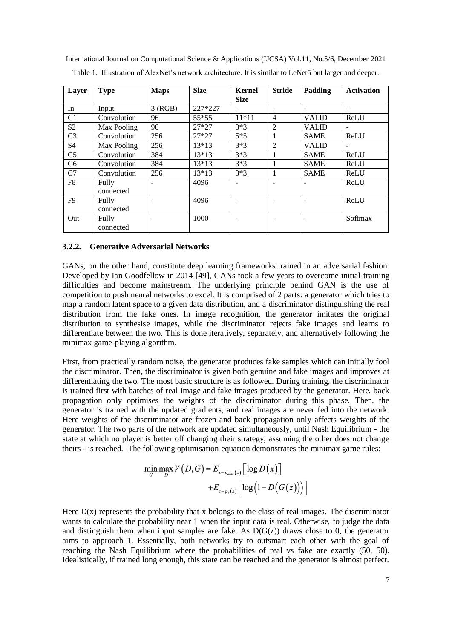International Journal on Computational Science & Applications (IJCSA) Vol.11, No.5/6, December 2021 Table 1. Illustration of AlexNet's network architecture. It is similar to LeNet5 but larger and deeper.

| Layer          | <b>Type</b>        | <b>Maps</b> | <b>Size</b> | <b>Kernel</b><br><b>Size</b> | <b>Stride</b>            | Padding      | <b>Activation</b>        |
|----------------|--------------------|-------------|-------------|------------------------------|--------------------------|--------------|--------------------------|
| In             | Input              | 3(RGB)      | 227*227     | $\overline{\phantom{0}}$     | $\overline{\phantom{a}}$ |              | $\overline{\phantom{0}}$ |
| C1             | Convolution        | 96          | $55*55$     | $11*11$                      | $\overline{4}$           | <b>VALID</b> | ReLU                     |
| S <sub>2</sub> | Max Pooling        | 96          | $27*27$     | $3*3$                        | $\overline{2}$           | <b>VALID</b> | $\overline{\phantom{0}}$ |
| C <sub>3</sub> | Convolution        | 256         | $27*27$     | $5*5$                        | 1                        | <b>SAME</b>  | ReLU                     |
| S <sub>4</sub> | Max Pooling        | 256         | 13*13       | $3*3$                        | $\overline{2}$           | <b>VALID</b> |                          |
| C <sub>5</sub> | Convolution        | 384         | $13*13$     | $3*3$                        |                          | <b>SAME</b>  | ReLU                     |
| C <sub>6</sub> | Convolution        | 384         | $13*13$     | $3*3$                        |                          | <b>SAME</b>  | ReLU                     |
| C7             | Convolution        | 256         | 13*13       | $3*3$                        | 1                        | <b>SAME</b>  | ReLU                     |
| F <sub>8</sub> | Fully<br>connected | ۰           | 4096        | $\overline{\phantom{a}}$     | $\overline{\phantom{a}}$ |              | ReLU                     |
| F9             | Fully<br>connected |             | 4096        |                              |                          |              | ReLU                     |
| Out            | Fully<br>connected |             | 1000        |                              |                          |              | Softmax                  |

#### **3.2.2. Generative Adversarial Networks**

GANs, on the other hand, constitute deep learning frameworks trained in an adversarial fashion. Developed by Ian Goodfellow in 2014 [49], GANs took a few years to overcome initial training difficulties and become mainstream. The underlying principle behind GAN is the use of competition to push neural networks to excel. It is comprised of 2 parts: a generator which tries to map a random latent space to a given data distribution, and a discriminator distinguishing the real distribution from the fake ones. In image recognition, the generator imitates the original distribution to synthesise images, while the discriminator rejects fake images and learns to differentiate between the two. This is done iteratively, separately, and alternatively following the minimax game-playing algorithm.

First, from practically random noise, the generator produces fake samples which can initially fool the discriminator. Then, the discriminator is given both genuine and fake images and improves at differentiating the two. The most basic structure is as followed. During training, the discriminator is trained first with batches of real image and fake images produced by the generator. Here, back propagation only optimises the weights of the discriminator during this phase. Then, the generator is trained with the updated gradients, and real images are never fed into the network. Here weights of the discriminator are frozen and back propagation only affects weights of the generator. The two parts of the network are updated simultaneously, until Nash Equilibrium - the state at which no player is better off changing their strategy, assuming the other does not change theirs - is reached. The following optimisation equation demonstrates the minimax game rules:

$$
\min_{G} \max_{D} V(D, G) = E_{x \sim p_{data}(x)} \Big[ \log D(x) \Big] \n+ E_{z \sim p_{z}(z)} \Big[ \log \big( 1 - D\big(G\big(z\big)\big) \Big) \Big]
$$

Here  $D(x)$  represents the probability that x belongs to the class of real images. The discriminator wants to calculate the probability near 1 when the input data is real. Otherwise, to judge the data and distinguish them when input samples are fake. As  $D(G(z))$  draws close to 0, the generator aims to approach 1. Essentially, both networks try to outsmart each other with the goal of reaching the Nash Equilibrium where the probabilities of real vs fake are exactly (50, 50). Idealistically, if trained long enough, this state can be reached and the generator is almost perfect.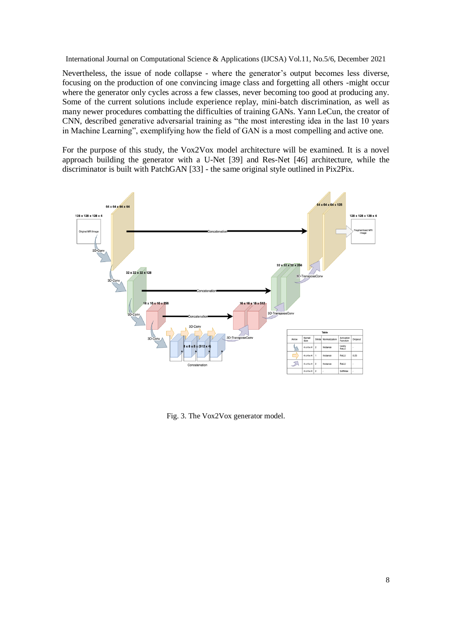Nevertheless, the issue of node collapse - where the generator's output becomes less diverse, focusing on the production of one convincing image class and forgetting all others -might occur where the generator only cycles across a few classes, never becoming too good at producing any. Some of the current solutions include experience replay, mini-batch discrimination, as well as many newer procedures combatting the difficulties of training GANs. Yann LeCun, the creator of CNN, described generative adversarial training as "the most interesting idea in the last 10 years in Machine Learning", exemplifying how the field of GAN is a most compelling and active one.

For the purpose of this study, the Vox2Vox model architecture will be examined. It is a novel approach building the generator with a U-Net [39] and Res-Net [46] architecture, while the discriminator is built with PatchGAN [33] - the same original style outlined in Pix2Pix.



Fig. 3. The Vox2Vox generator model.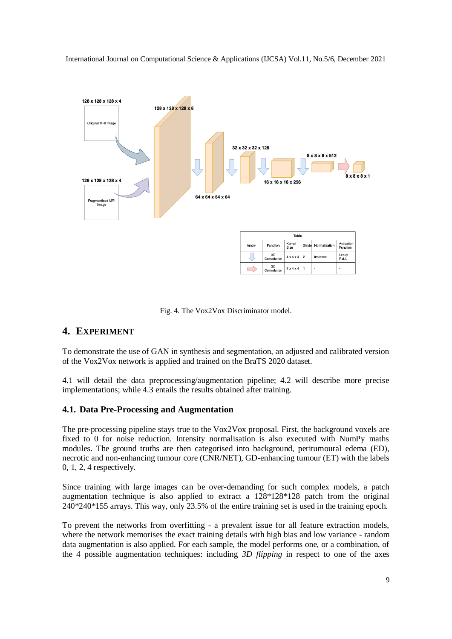

Fig. 4. The Vox2Vox Discriminator model.

# **4. EXPERIMENT**

To demonstrate the use of GAN in synthesis and segmentation, an adjusted and calibrated version of the Vox2Vox network is applied and trained on the BraTS 2020 dataset.

4.1 will detail the data preprocessing/augmentation pipeline; 4.2 will describe more precise implementations; while 4.3 entails the results obtained after training.

## **4.1. Data Pre-Processing and Augmentation**

The pre-processing pipeline stays true to the Vox2Vox proposal. First, the background voxels are fixed to 0 for noise reduction. Intensity normalisation is also executed with NumPy maths modules. The ground truths are then categorised into background, peritumoural edema (ED), necrotic and non-enhancing tumour core (CNR/NET), GD-enhancing tumour (ET) with the labels 0, 1, 2, 4 respectively.

Since training with large images can be over-demanding for such complex models, a patch augmentation technique is also applied to extract a 128\*128\*128 patch from the original 240\*240\*155 arrays. This way, only 23.5% of the entire training set is used in the training epoch.

To prevent the networks from overfitting - a prevalent issue for all feature extraction models, where the network memorises the exact training details with high bias and low variance - random data augmentation is also applied. For each sample, the model performs one, or a combination, of the 4 possible augmentation techniques: including *3D flipping* in respect to one of the axes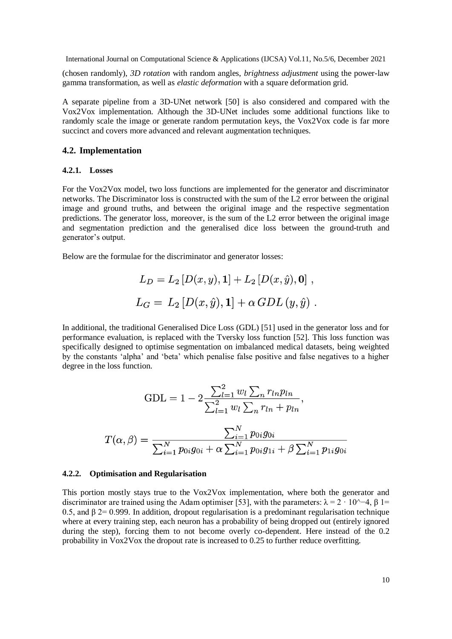(chosen randomly), *3D rotation* with random angles, *brightness adjustment* using the power-law gamma transformation, as well as *elastic deformation* with a square deformation grid.

A separate pipeline from a 3D-UNet network [50] is also considered and compared with the Vox2Vox implementation. Although the 3D-UNet includes some additional functions like to randomly scale the image or generate random permutation keys, the Vox2Vox code is far more succinct and covers more advanced and relevant augmentation techniques.

#### **4.2. Implementation**

#### **4.2.1. Losses**

For the Vox2Vox model, two loss functions are implemented for the generator and discriminator networks. The Discriminator loss is constructed with the sum of the L2 error between the original image and ground truths, and between the original image and the respective segmentation predictions. The generator loss, moreover, is the sum of the L2 error between the original image and segmentation prediction and the generalised dice loss between the ground-truth and generator's output.

Below are the formulae for the discriminator and generator losses:

$$
L_D = L_2 [D(x, y), 1] + L_2 [D(x, \hat{y}), 0],
$$
  
\n
$$
L_G = L_2 [D(x, \hat{y}), 1] + \alpha GDL(y, \hat{y}).
$$

In additional, the traditional Generalised Dice Loss (GDL) [51] used in the generator loss and for performance evaluation, is replaced with the Tversky loss function [52]. This loss function was specifically designed to optimise segmentation on imbalanced medical datasets, being weighted by the constants 'alpha' and 'beta' which penalise false positive and false negatives to a higher degree in the loss function.

$$
GDL = 1 - 2 \frac{\sum_{l=1}^{2} w_l \sum_{n} r_{ln} p_{ln}}{\sum_{l=1}^{2} w_l \sum_{n} r_{ln} + p_{ln}},
$$

$$
T(\alpha, \beta) = \frac{\sum_{i=1}^{N} p_{0i} g_{0i}}{\sum_{i=1}^{N} p_{0i} g_{0i} + \alpha \sum_{i=1}^{N} p_{0i} g_{1i} + \beta \sum_{i=1}^{N} p_{1i} g_{0i}}
$$

#### **4.2.2. Optimisation and Regularisation**

This portion mostly stays true to the Vox2Vox implementation, where both the generator and discriminator are trained using the Adam optimiser [53], with the parameters:  $\lambda = 2 \cdot 10^{\lambda} - 4$ ,  $\beta$  1= 0.5, and β 2= 0.999. In addition, dropout regularisation is a predominant regularisation technique where at every training step, each neuron has a probability of being dropped out (entirely ignored during the step), forcing them to not become overly co-dependent. Here instead of the 0.2 probability in Vox2Vox the dropout rate is increased to 0.25 to further reduce overfitting.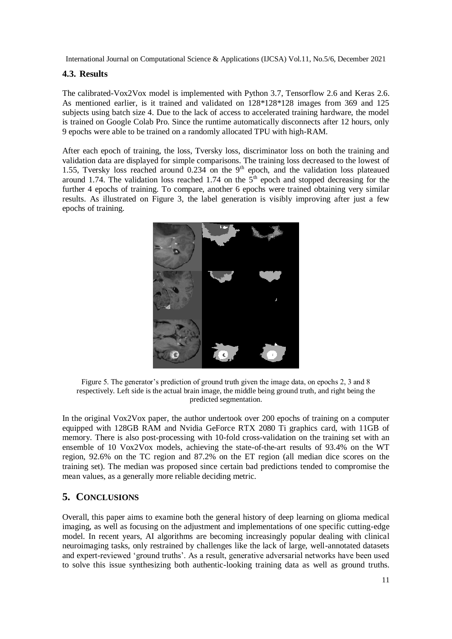## **4.3. Results**

The calibrated-Vox2Vox model is implemented with Python 3.7, Tensorflow 2.6 and Keras 2.6. As mentioned earlier, is it trained and validated on 128\*128\*128 images from 369 and 125 subjects using batch size 4. Due to the lack of access to accelerated training hardware, the model is trained on Google Colab Pro. Since the runtime automatically disconnects after 12 hours, only 9 epochs were able to be trained on a randomly allocated TPU with high-RAM.

After each epoch of training, the loss, Tversky loss, discriminator loss on both the training and validation data are displayed for simple comparisons. The training loss decreased to the lowest of 1.55, Tversky loss reached around  $0.234$  on the 9<sup>th</sup> epoch, and the validation loss plateaued around 1.74. The validation loss reached 1.74 on the 5<sup>th</sup> epoch and stopped decreasing for the further 4 epochs of training. To compare, another 6 epochs were trained obtaining very similar results. As illustrated on Figure 3, the label generation is visibly improving after just a few epochs of training.



Figure 5. The generator's prediction of ground truth given the image data, on epochs 2, 3 and 8 respectively. Left side is the actual brain image, the middle being ground truth, and right being the predicted segmentation.

In the original Vox2Vox paper, the author undertook over 200 epochs of training on a computer equipped with 128GB RAM and Nvidia GeForce RTX 2080 Ti graphics card, with 11GB of memory. There is also post-processing with 10-fold cross-validation on the training set with an ensemble of 10 Vox2Vox models, achieving the state-of-the-art results of 93.4% on the WT region, 92.6% on the TC region and 87.2% on the ET region (all median dice scores on the training set). The median was proposed since certain bad predictions tended to compromise the mean values, as a generally more reliable deciding metric.

# **5. CONCLUSIONS**

Overall, this paper aims to examine both the general history of deep learning on glioma medical imaging, as well as focusing on the adjustment and implementations of one specific cutting-edge model. In recent years, AI algorithms are becoming increasingly popular dealing with clinical neuroimaging tasks, only restrained by challenges like the lack of large, well-annotated datasets and expert-reviewed 'ground truths'. As a result, generative adversarial networks have been used to solve this issue synthesizing both authentic-looking training data as well as ground truths.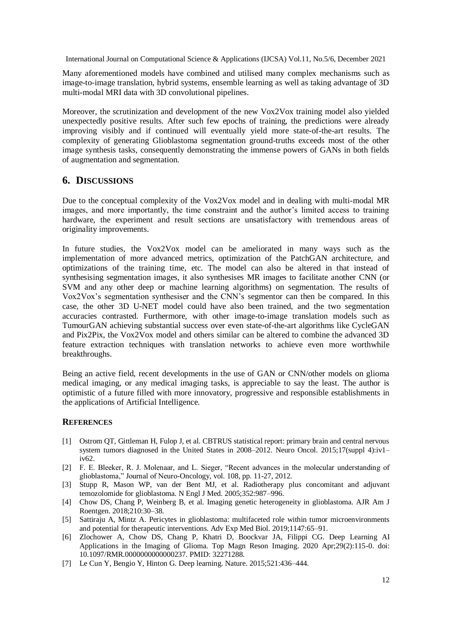Many aforementioned models have combined and utilised many complex mechanisms such as image-to-image translation, hybrid systems, ensemble learning as well as taking advantage of 3D multi-modal MRI data with 3D convolutional pipelines.

Moreover, the scrutinization and development of the new Vox2Vox training model also yielded unexpectedly positive results. After such few epochs of training, the predictions were already improving visibly and if continued will eventually yield more state-of-the-art results. The complexity of generating Glioblastoma segmentation ground-truths exceeds most of the other image synthesis tasks, consequently demonstrating the immense powers of GANs in both fields of augmentation and segmentation.

# **6. DISCUSSIONS**

Due to the conceptual complexity of the Vox2Vox model and in dealing with multi-modal MR images, and more importantly, the time constraint and the author's limited access to training hardware, the experiment and result sections are unsatisfactory with tremendous areas of originality improvements.

In future studies, the Vox2Vox model can be ameliorated in many ways such as the implementation of more advanced metrics, optimization of the PatchGAN architecture, and optimizations of the training time, etc. The model can also be altered in that instead of synthesising segmentation images, it also synthesises MR images to facilitate another CNN (or SVM and any other deep or machine learning algorithms) on segmentation. The results of Vox2Vox's segmentation synthesiser and the CNN's segmentor can then be compared. In this case, the other 3D U-NET model could have also been trained, and the two segmentation accuracies contrasted. Furthermore, with other image-to-image translation models such as TumourGAN achieving substantial success over even state-of-the-art algorithms like CycleGAN and Pix2Pix, the Vox2Vox model and others similar can be altered to combine the advanced 3D feature extraction techniques with translation networks to achieve even more worthwhile breakthroughs.

Being an active field, recent developments in the use of GAN or CNN/other models on glioma medical imaging, or any medical imaging tasks, is appreciable to say the least. The author is optimistic of a future filled with more innovatory, progressive and responsible establishments in the applications of Artificial Intelligence.

## **REFERENCES**

- [1] Ostrom QT, Gittleman H, Fulop J, et al. CBTRUS statistical report: primary brain and central nervous system tumors diagnosed in the United States in 2008–2012. Neuro Oncol. 2015;17(suppl 4):iv1– iv62.
- [2] F. E. Bleeker, R. J. Molenaar, and L. Sieger, "Recent advances in the molecular understanding of glioblastoma," Journal of Neuro-Oncology, vol. 108, pp. 11-27, 2012.
- [3] Stupp R, Mason WP, van der Bent MJ, et al. Radiotherapy plus concomitant and adjuvant temozolomide for glioblastoma. N Engl J Med. 2005;352:987–996.
- [4] Chow DS, Chang P, Weinberg B, et al. Imaging genetic heterogeneity in glioblastoma. AJR Am J Roentgen. 2018;210:30–38.
- [5] Sattiraju A, Mintz A. Pericytes in glioblastoma: multifaceted role within tumor microenvironments and potential for therapeutic interventions. Adv Exp Med Biol. 2019;1147:65–91.
- [6] Zlochower A, Chow DS, Chang P, Khatri D, Boockvar JA, Filippi CG. Deep Learning AI Applications in the Imaging of Glioma. Top Magn Reson Imaging. 2020 Apr;29(2):115-0. doi: 10.1097/RMR.0000000000000237. PMID: 32271288.
- [7] Le Cun Y, Bengio Y, Hinton G. Deep learning. Nature. 2015;521:436–444.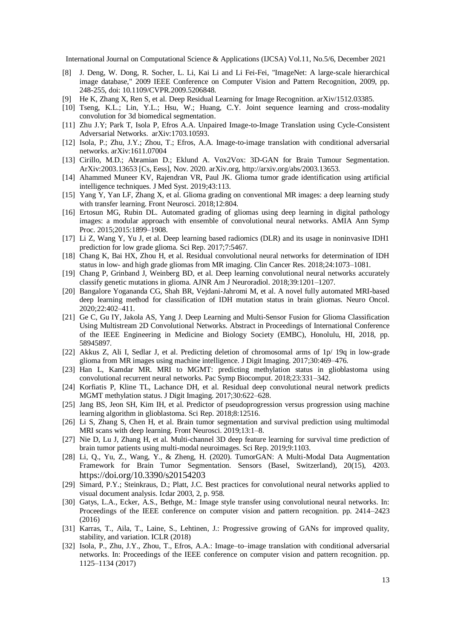- [8] J. Deng, W. Dong, R. Socher, L. Li, Kai Li and Li Fei-Fei, "ImageNet: A large-scale hierarchical image database," 2009 IEEE Conference on Computer Vision and Pattern Recognition, 2009, pp. 248-255, doi: 10.1109/CVPR.2009.5206848.
- [9] He K, Zhang X, Ren S, et al. Deep Residual Learning for Image Recognition. arXiv/1512.03385.
- [10] Tseng, K.L.; Lin, Y.L.; Hsu, W.; Huang, C.Y. Joint sequence learning and cross-modality convolution for 3d biomedical segmentation.
- [11] Zhu J.Y; Park T, Isola P, Efros A.A. Unpaired Image-to-Image Translation using Cycle-Consistent Adversarial Networks. arXiv:1703.10593.
- [12] Isola, P.; Zhu, J.Y.; Zhou, T.; Efros, A.A. Image-to-image translation with conditional adversarial networks. arXiv:1611.07004
- [13] Cirillo, M.D.; Abramian D.; Eklund A. Vox2Vox: 3D-GAN for Brain Tumour Segmentation. ArXiv:2003.13653 [Cs, Eess], Nov. 2020. arXiv.org, http://arxiv.org/abs/2003.13653.
- [14] Ahammed Muneer KV, Rajendran VR, Paul JK. Glioma tumor grade identification using artificial intelligence techniques. J Med Syst. 2019;43:113.
- [15] Yang Y, Yan LF, Zhang X, et al. Glioma grading on conventional MR images: a deep learning study with transfer learning. Front Neurosci. 2018;12:804.
- [16] Ertosun MG, Rubin DL. Automated grading of gliomas using deep learning in digital pathology images: a modular approach with ensemble of convolutional neural networks. AMIA Ann Symp Proc. 2015;2015:1899–1908.
- [17] Li Z, Wang Y, Yu J, et al. Deep learning based radiomics (DLR) and its usage in noninvasive IDH1 prediction for low grade glioma. Sci Rep. 2017;7:5467.
- [18] Chang K, Bai HX, Zhou H, et al. Residual convolutional neural networks for determination of IDH status in low- and high grade gliomas from MR imaging. Clin Cancer Res. 2018;24:1073–1081.
- [19] Chang P, Grinband J, Weinberg BD, et al. Deep learning convolutional neural networks accurately classify genetic mutations in glioma. AJNR Am J Neuroradiol. 2018;39:1201–1207.
- [20] Bangalore Yogananda CG, Shah BR, Vejdani-Jahromi M, et al. A novel fully automated MRI-based deep learning method for classification of IDH mutation status in brain gliomas. Neuro Oncol. 2020;22:402–411.
- [21] Ge C, Gu IY, Jakola AS, Yang J. Deep Learning and Multi-Sensor Fusion for Glioma Classification Using Multistream 2D Convolutional Networks. Abstract in Proceedings of International Conference of the IEEE Engineering in Medicine and Biology Society (EMBC), Honolulu, HI, 2018, pp. 58945897.
- [22] Akkus Z, Ali I, Sedlar J, et al. Predicting deletion of chromosomal arms of 1p/ 19q in low-grade glioma from MR images using machine intelligence. J Digit Imaging. 2017;30:469–476.
- [23] Han L, Kamdar MR. MRI to MGMT: predicting methylation status in glioblastoma using convolutional recurrent neural networks. Pac Symp Biocomput. 2018;23:331–342.
- [24] Korfiatis P, Kline TL, Lachance DH, et al. Residual deep convolutional neural network predicts MGMT methylation status. J Digit Imaging. 2017;30:622–628.
- [25] Jang BS, Jeon SH, Kim IH, et al. Predictor of pseudoprogression versus progression using machine learning algorithm in glioblastoma. Sci Rep. 2018;8:12516.
- [26] Li S, Zhang S, Chen H, et al. Brain tumor segmentation and survival prediction using multimodal MRI scans with deep learning. Front Neurosci. 2019;13:1–8.
- [27] Nie D, Lu J, Zhang H, et al. Multi-channel 3D deep feature learning for survival time prediction of brain tumor patients using multi-modal neuroimages. Sci Rep. 2019;9:1103.
- [28] Li, Q., Yu, Z., Wang, Y., & Zheng, H. (2020). TumorGAN: A Multi-Modal Data Augmentation Framework for Brain Tumor Segmentation. Sensors (Basel, Switzerland), 20(15), 4203. <https://doi.org/10.3390/s20154203>
- [29] Simard, P.Y.; Steinkraus, D.; Platt, J.C. Best practices for convolutional neural networks applied to visual document analysis. Icdar 2003, 2, p. 958.
- [30] Gatys, L.A., Ecker, A.S., Bethge, M.: Image style transfer using convolutional neural networks. In: Proceedings of the IEEE conference on computer vision and pattern recognition. pp. 2414–2423 (2016)
- [31] Karras, T., Aila, T., Laine, S., Lehtinen, J.: Progressive growing of GANs for improved quality, stability, and variation. ICLR (2018)
- [32] Isola, P., Zhu, J.Y., Zhou, T., Efros, A.A.: Image–to–image translation with conditional adversarial networks. In: Proceedings of the IEEE conference on computer vision and pattern recognition. pp. 1125–1134 (2017)